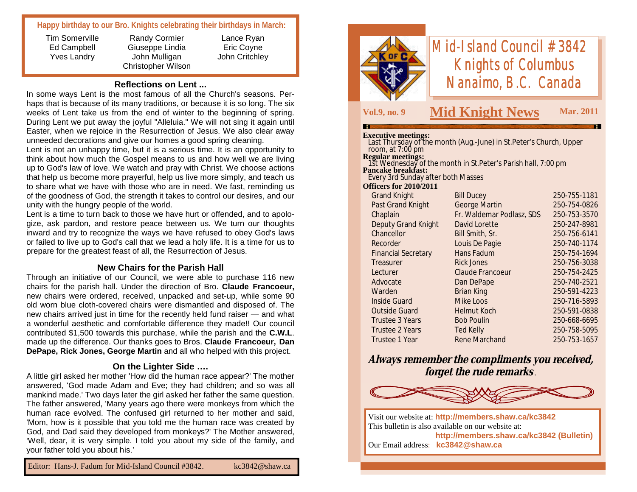## **Happy birthday to our Bro. Knights celebrating their birthdays in March:**

Tim Somerville Ed Campbell Yves Landry

Randy Cormier Giuseppe Lindia John Mulligan Christopher Wilson

Lance Ryan Eric Coyne John Critchley

**Reflections on Lent ...**

In some ways Lent is the most famous of all the Church's seasons. Perhaps that is because of its many traditions, or because it is so long. The six weeks of Lent take us from the end of winter to the beginning of spring. During Lent we put away the joyful "Alleluia." We will not sing it again until Easter, when we rejoice in the Resurrection of Jesus. We also clear away unneeded decorations and give our homes a good spring cleaning.

Lent is not an unhappy time, but it is a serious time. It is an opportunity to think about how much the Gospel means to us and how well we are living up to God's law of love. We watch and pray with Christ. We choose actions that help us become more prayerful, help us live more simply, and teach us to share what we have with those who are in need. We fast, reminding us of the goodness of God, the strength it takes to control our desires, and our unity with the hungry people of the world.

Lent is a time to turn back to those we have hurt or offended, and to apologize, ask pardon, and restore peace between us. We turn our thoughts inward and try to recognize the ways we have refused to obey God's laws or failed to live up to God's call that we lead a holy life. It is a time for us to prepare for the greatest feast of all, the Resurrection of Jesus.

## **New Chairs for the Parish Hall**

Through an initiative of our Council, we were able to purchase 116 new chairs for the parish hall. Under the direction of Bro. **Claude Francoeur,**  new chairs were ordered, received, unpacked and set-up, while some 90 old worn blue cloth-covered chairs were dismantled and disposed of. The new chairs arrived just in time for the recently held fund raiser — and what a wonderful aesthetic and comfortable difference they made!! Our council contributed \$1,500 towards this purchase, while the parish and the **C.W.L**. made up the difference. Our thanks goes to Bros. **Claude Francoeur, Dan DePape, Rick Jones, George Martin** and all who helped with this project.

### **On the Lighter Side ….**

A little girl asked her mother 'How did the human race appear?' The mother answered, 'God made Adam and Eve; they had children; and so was all mankind made.' Two days later the girl asked her father the same question. The father answered, 'Many years ago there were monkeys from which the human race evolved. The confused girl returned to her mother and said, 'Mom, how is it possible that you told me the human race was created by God, and Dad said they developed from monkeys?' The Mother answered, 'Well, dear, it is very simple. I told you about my side of the family, and your father told you about his.'



# *Mid-Island Council #3842 Knights of Columbus Nanaimo, B.C. Canada*

т

# **Vol.9, no. 9 Mid Knight News Mar. 2011**

#### **Executive meetings:**

| <b>Executive meetings:</b>         |                                                                     |              |
|------------------------------------|---------------------------------------------------------------------|--------------|
|                                    | Last Thursday of the month (Aug.-June) in St. Peter's Church, Upper |              |
| room, at 7:00 pm                   |                                                                     |              |
| <b>Regular meetings:</b>           |                                                                     |              |
|                                    | 1st Wednesday of the month in St. Peter's Parish hall, 7:00 pm      |              |
| <b>Pancake breakfast:</b>          |                                                                     |              |
| Every 3rd Sunday after both Masses |                                                                     |              |
| <b>Officers for 2010/2011</b>      |                                                                     |              |
| <b>Grand Knight</b>                | <b>Bill Ducey</b>                                                   | 250-755-1181 |
| Past Grand Knight                  | <b>George Martin</b>                                                | 250-754-0826 |
| Chaplain                           | Fr. Waldemar Podlasz, SDS                                           | 250-753-3570 |
| <b>Deputy Grand Knight</b>         | David Lorette                                                       | 250-247-8981 |
| Chancellor                         | Bill Smith, Sr.                                                     | 250-756-6141 |
| Recorder                           | Louis De Pagie                                                      | 250-740-1174 |
| <b>Financial Secretary</b>         | Hans Fadum                                                          | 250-754-1694 |
| Treasurer                          | Rick Jones                                                          | 250-756-3038 |
| Lecturer                           | Claude Francoeur                                                    | 250-754-2425 |
| Advocate                           | Dan DePape                                                          | 250-740-2521 |
| Warden                             | <b>Brian King</b>                                                   | 250-591-4223 |
| <b>Inside Guard</b>                | <b>Mike Loos</b>                                                    | 250-716-5893 |

 Outside Guard Helmut Koch 250-591-0838 Trustee 3 Years Bob Poulin 250-668-6695 Trustee 2 Years Ted Kelly 250-758-5095 Trustee 1 Year Rene Marchand 250-753-1657

**Always remember the compliments you received, forget the rude remarks** *.*



Visit our website at: **http://members.shaw.ca/kc3842** This bulletin is also available on our website at: **http://members.shaw.ca/kc3842 (Bulletin)** Our Email address: **kc3842@shaw.ca**